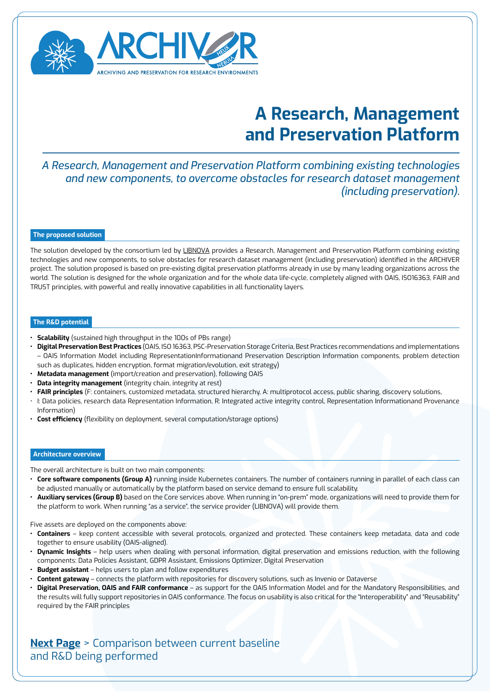

## **A Research, Management and Preservation Platform**

*A Research, Management and Preservation Platform combining existing technologies and new components, to overcome obstacles for research dataset management (including preservation).*

#### **The proposed solution**

The solution developed by the consortium led by [LIBNOVA](https://www.libnova.com/) provides a Research, Management and Preservation Platform combining existing technologies and new components, to solve obstacles for research dataset management (including preservation) identified in the ARCHIVER project. The solution proposed is based on pre-existing digital preservation platforms already in use by many leading organizations across the world. The solution is designed for the whole organization and for the whole data life-cycle, completely aligned with OAIS, ISO16363, FAIR and TRUST principles, with powerful and really innovative capabilities in all functionality layers.

### **The R&D potential**

- **• Scalability** (sustained high throughput in the 100s of PBs range)
- **• Digital Preservation Best Practices** (OAIS, ISO 16363, PSC-Preservation Storage Criteria, Best Practices recommendations and implementations – OAIS Information Model including RepresentationInformationand Preservation Description Information components, problem detection such as duplicates, hidden encryption, format migration/evolution, exit strategy)
- **• Metadata management** (import/creation and preservation), following OAIS
- **• Data integrity management** (integrity chain, integrity at rest)
- **• FAIR principles** (F: containers, customized metadata, structured hierarchy, A: multiprotocol access, public sharing, discovery solutions,
- I: Data policies, research data Representation Information, R: Integrated active integrity control, Representation Informationand Provenance Information)
- **• Cost efficiency** (flexibility on deployment, several computation/storage options)

#### **Architecture overview**

The overall architecture is built on two main components:

- **• Core software components (Group A)** running inside Kubernetes containers. The number of containers running in parallel of each class can be adjusted manually or automatically by the platform based on service demand to ensure full scalability.
- **• Auxiliary services (Group B)** based on the Core services above. When running in "on-prem" mode, organizations will need to provide them for the platform to work. When running "as a service", the service provider (LIBNOVA) will provide them.

Five assets are deployed on the components above:

- **• Containers** keep content accessible with several protocols, organized and protected. These containers keep metadata, data and code together to ensure usability (OAIS-aligned).
- **• Dynamic Insights** help users when dealing with personal information, digital preservation and emissions reduction, with the following components: Data Policies Assistant, GDPR Assistant, Emissions Optimizer, Digital Preservation
- **• Budget assistant** helps users to plan and follow expenditures
- **• Content gateway** connects the platform with repositories for discovery solutions, such as Invenio or Dataverse
- **• Digital Preservation, OAIS and FAIR conformance** as support for the OAIS Information Model and for the Mandatory Responsibilities, and the results will fully support repositories in OAIS conformance. The focus on usability is also critical for the "Interoperability" and "Reusability" required by the FAIR principles

**[Next Page](#page-1-0)** > Comparison between current baseline and R&D being performed